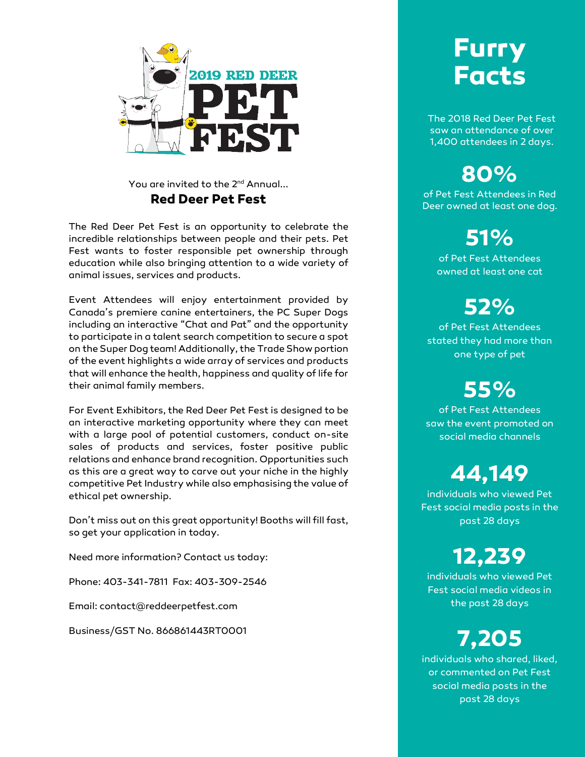

You are invited to the 2<sup>nd</sup> Annual... **Red Deer Pet Fest**

The Red Deer Pet Fest is an opportunity to celebrate the incredible relationships between people and their pets. Pet Fest wants to foster responsible pet ownership through education while also bringing attention to a wide variety of animal issues, services and products.

Event Attendees will enjoy entertainment provided by Canada's premiere canine entertainers, the PC Super Dogs including an interactive "Chat and Pat" and the opportunity to participate in a talent search competition to secure a spot on the Super Dog team! Additionally, the Trade Show portion of the event highlights a wide array of services and products that will enhance the health, happiness and quality of life for their animal family members.

For Event Exhibitors, the Red Deer Pet Fest is designed to be an interactive marketing opportunity where they can meet with a large pool of potential customers, conduct on-site sales of products and services, foster positive public relations and enhance brand recognition. Opportunities such as this are a great way to carve out your niche in the highly competitive Pet Industry while also emphasising the value of ethical pet ownership.

Don't miss out on this great opportunity! Booths will fill fast, so get your application in today.

Need more information? Contact us today:

Phone: 403-341-7811 Fax: 403-309-2546

Email: contact@reddeerpetfest.com

Business/GST No. 866861443RT0001

# **Furry Facts**

The 2018 Red Deer Pet Fest saw an attendance of over 1,400 attendees in 2 days.

**80%** 

of Pet Fest Attendees in Red Deer owned at least one dog.

## **51%**

of Pet Fest Attendees owned at least one cat

## **52%**

of Pet Fest Attendees stated they had more than one type of pet

# **55%**

of Pet Fest Attendees saw the event promoted on social media channels

## **44,149**

individuals who viewed Pet Fest social media posts in the past 28 days

## **12,239**

individuals who viewed Pet Fest social media videos in the past 28 days

# **7,205**

individuals who shared, liked, or commented on Pet Fest social media posts in the past 28 days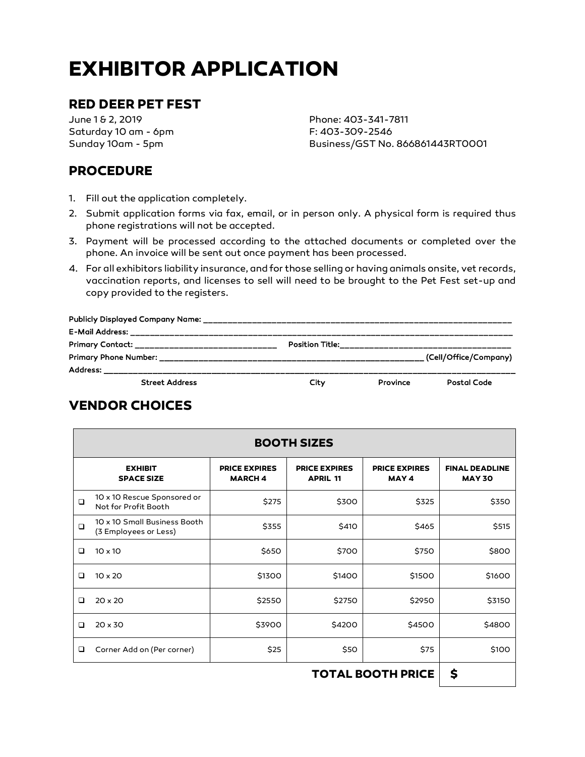# **EXHIBITOR APPLICATION**

## **RED DEER PET FEST**

June 1 & 2, 2019 Saturday 10 am - 6pm Sunday 10am - 5pm

Phone: 403-341-7811 F: 403-309-2546 Business/GST No. 866861443RT0001

### **PROCEDURE**

- 1. Fill out the application completely.
- 2. Submit application forms via fax, email, or in person only. A physical form is required thus phone registrations will not be accepted.
- 3. Payment will be processed according to the attached documents or completed over the phone. An invoice will be sent out once payment has been processed.
- 4. For all exhibitors liability insurance, and for those selling or having animals onsite, vet records, vaccination reports, and licenses to sell will need to be brought to the Pet Fest set-up and copy provided to the registers.

| Primary Contact: _______________________________                                                                                        |      |          |                       |
|-----------------------------------------------------------------------------------------------------------------------------------------|------|----------|-----------------------|
|                                                                                                                                         |      |          | (Cell/Office/Company) |
| <b>Address:</b><br><u>. 2002. godine i postava se uz svoje u postava se uz svoje u postava se uz svoje u postava se uz svoje u post</u> |      |          |                       |
| <b>Street Address</b>                                                                                                                   | City | Province | Postal Code           |

## **VENDOR CHOICES**

| <b>BOOTH SIZES</b>       |                                                       |                                       |                                         |                               |                                        |  |  |
|--------------------------|-------------------------------------------------------|---------------------------------------|-----------------------------------------|-------------------------------|----------------------------------------|--|--|
|                          | <b>EXHIBIT</b><br><b>SPACE SIZE</b>                   | <b>PRICE EXPIRES</b><br><b>MARCH4</b> | <b>PRICE EXPIRES</b><br><b>APRIL 11</b> | <b>PRICE EXPIRES</b><br>MAY 4 | <b>FINAL DEADLINE</b><br><b>MAY 30</b> |  |  |
| $\Box$                   | 10 x 10 Rescue Sponsored or<br>Not for Profit Booth   | \$275                                 | \$300                                   | \$325                         | \$350                                  |  |  |
| $\Box$                   | 10 x 10 Small Business Booth<br>(3 Employees or Less) | \$355                                 | \$410                                   | \$465                         | \$515                                  |  |  |
| □                        | $10 \times 10$                                        | \$650                                 | \$700                                   | \$750                         | \$800                                  |  |  |
| $\Box$                   | $10 \times 20$                                        | \$1300                                | \$1400                                  | \$1500                        | \$1600                                 |  |  |
| $\Box$                   | $20 \times 20$                                        | \$2550                                | \$2750                                  | \$2950                        | \$3150                                 |  |  |
| $\Box$                   | $20 \times 30$                                        | \$3900                                | \$4200                                  | \$4500                        | \$4800                                 |  |  |
| □                        | Corner Add on (Per corner)                            | \$25                                  | \$50                                    | \$75                          | \$100                                  |  |  |
| <b>TOTAL BOOTH PRICE</b> |                                                       |                                       |                                         |                               | \$                                     |  |  |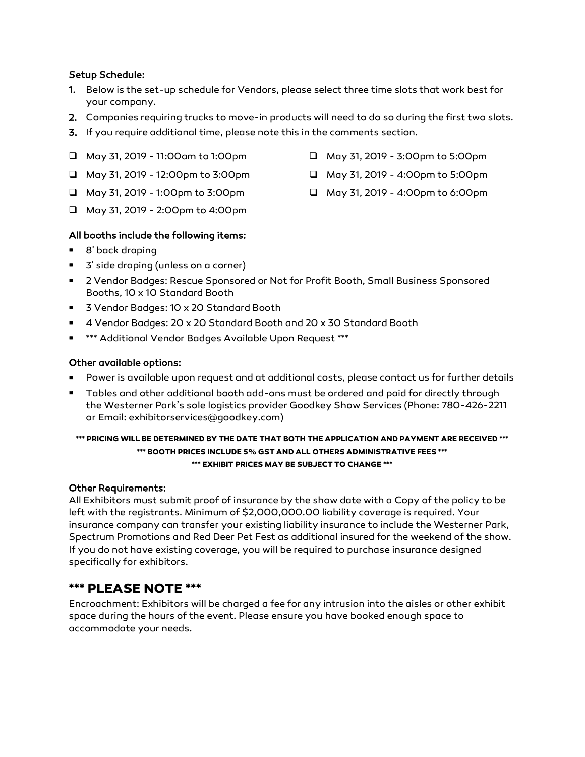#### Setup Schedule:

- 1. Below is the set-up schedule for Vendors, please select three time slots that work best for your company.
- 2. Companies requiring trucks to move-in products will need to do so during the first two slots.
- 3. If you require additional time, please note this in the comments section.
- May 31, 2019 11:00am to 1:00pm
- $\Box$  May 31, 2019 12:00pm to 3:00pm
- $\Box$  May 31, 2019 1:00pm to 3:00pm
- May 31, 2019 2:00pm to 4:00pm

#### All booths include the following items:

- 8' back draping
- 3' side draping (unless on a corner)
- 2 Vendor Badges: Rescue Sponsored or Not for Profit Booth, Small Business Sponsored Booths, 10 x 10 Standard Booth
- 3 Vendor Badges: 10 x 20 Standard Booth
- 4 Vendor Badges: 20 x 20 Standard Booth and 20 x 30 Standard Booth
- \*\*\* Additional Vendor Badges Available Upon Request \*\*\*

#### Other available options:

- Power is available upon request and at additional costs, please contact us for further details
- Tables and other additional booth add-ons must be ordered and paid for directly through the Westerner Park's sole logistics provider Goodkey Show Services (Phone: 780-426-2211 or Email: exhibitorservices@goodkey.com)

#### **\*\*\* PRICING WILL BE DETERMINED BY THE DATE THAT BOTH THE APPLICATION AND PAYMENT ARE RECEIVED \*\*\* \*\*\* BOOTH PRICES INCLUDE 5% GST AND ALL OTHERS ADMINISTRATIVE FEES \*\*\* \*\*\* EXHIBIT PRICES MAY BE SUBJECT TO CHANGE \*\*\***

#### Other Requirements:

All Exhibitors must submit proof of insurance by the show date with a Copy of the policy to be left with the registrants. Minimum of \$2,000,000.00 liability coverage is required. Your insurance company can transfer your existing liability insurance to include the Westerner Park, Spectrum Promotions and Red Deer Pet Fest as additional insured for the weekend of the show. If you do not have existing coverage, you will be required to purchase insurance designed specifically for exhibitors.

### **\*\*\* PLEASE NOTE \*\*\***

Encroachment: Exhibitors will be charged a fee for any intrusion into the aisles or other exhibit space during the hours of the event. Please ensure you have booked enough space to accommodate your needs.

- May 31, 2019 3:00pm to 5:00pm
- May 31, 2019 4:00pm to 5:00pm
- May 31, 2019 4:00pm to 6:00pm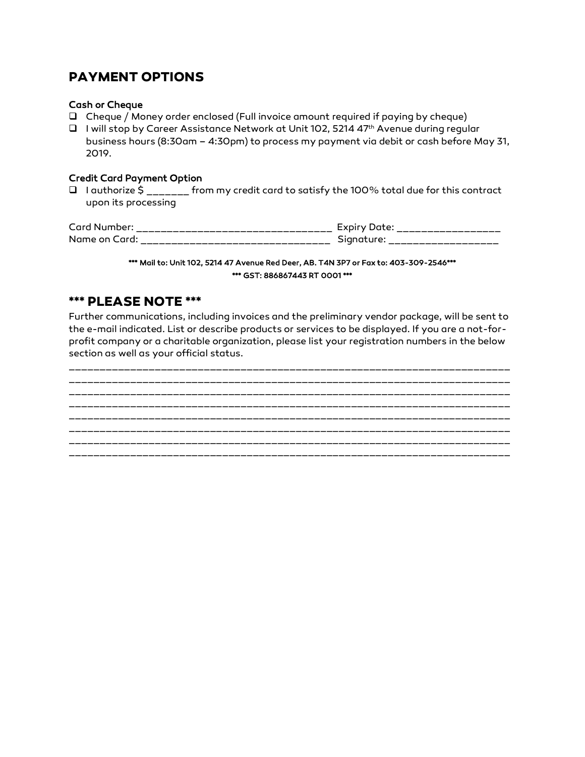### **PAYMENT OPTIONS**

#### Cash or Cheque

- Cheque / Money order enclosed (Full invoice amount required if paying by cheque)
- $\Box$  I will stop by Career Assistance Network at Unit 102, 5214 47<sup>th</sup> Avenue during regular business hours (8:30am – 4:30pm) to process my payment via debit or cash before May 31, 2019.

#### Credit Card Payment Option

 $\Box$  I authorize  $\zeta$  \_\_\_\_\_\_ from my credit card to satisfy the 100% total due for this contract upon its processing

| Card Number:                               | ______<br>__<br>___<br>__<br>___<br>___<br>_<br>___ | EYDIL"<br>___<br>للمسترام مسترام مسترامات والمسترامات والمسترامات والمسترامات والمسترامات<br>--- |
|--------------------------------------------|-----------------------------------------------------|--------------------------------------------------------------------------------------------------|
| Name on<br>$\overline{\phantom{a}}$<br>arc | ___<br>_____<br>__________<br>_________<br>__<br>_  | -------------<br>_                                                                               |

#### \*\*\* Mail to: Unit 102, 5214 47 Avenue Red Deer, AB. T4N 3P7 or Fax to: 403-309-2546\*\*\* \*\*\* GST: 886867443 RT 0001 \*\*\*

### **\*\*\* PLEASE NOTE \*\*\***

Further communications, including invoices and the preliminary vendor package, will be sent to the e-mail indicated. List or describe products or services to be displayed. If you are a not-forprofit company or a charitable organization, please list your registration numbers in the below section as well as your official status.

\_\_\_\_\_\_\_\_\_\_\_\_\_\_\_\_\_\_\_\_\_\_\_\_\_\_\_\_\_\_\_\_\_\_\_\_\_\_\_\_\_\_\_\_\_\_\_\_\_\_\_\_\_\_\_\_\_\_\_\_\_\_\_\_\_\_\_\_\_\_\_\_ \_\_\_\_\_\_\_\_\_\_\_\_\_\_\_\_\_\_\_\_\_\_\_\_\_\_\_\_\_\_\_\_\_\_\_\_\_\_\_\_\_\_\_\_\_\_\_\_\_\_\_\_\_\_\_\_\_\_\_\_\_\_\_\_\_\_\_\_\_\_\_\_ \_\_\_\_\_\_\_\_\_\_\_\_\_\_\_\_\_\_\_\_\_\_\_\_\_\_\_\_\_\_\_\_\_\_\_\_\_\_\_\_\_\_\_\_\_\_\_\_\_\_\_\_\_\_\_\_\_\_\_\_\_\_\_\_\_\_\_\_\_\_\_\_ \_\_\_\_\_\_\_\_\_\_\_\_\_\_\_\_\_\_\_\_\_\_\_\_\_\_\_\_\_\_\_\_\_\_\_\_\_\_\_\_\_\_\_\_\_\_\_\_\_\_\_\_\_\_\_\_\_\_\_\_\_\_\_\_\_\_\_\_\_\_\_\_ \_\_\_\_\_\_\_\_\_\_\_\_\_\_\_\_\_\_\_\_\_\_\_\_\_\_\_\_\_\_\_\_\_\_\_\_\_\_\_\_\_\_\_\_\_\_\_\_\_\_\_\_\_\_\_\_\_\_\_\_\_\_\_\_\_\_\_\_\_\_\_\_ \_\_\_\_\_\_\_\_\_\_\_\_\_\_\_\_\_\_\_\_\_\_\_\_\_\_\_\_\_\_\_\_\_\_\_\_\_\_\_\_\_\_\_\_\_\_\_\_\_\_\_\_\_\_\_\_\_\_\_\_\_\_\_\_\_\_\_\_\_\_\_\_ \_\_\_\_\_\_\_\_\_\_\_\_\_\_\_\_\_\_\_\_\_\_\_\_\_\_\_\_\_\_\_\_\_\_\_\_\_\_\_\_\_\_\_\_\_\_\_\_\_\_\_\_\_\_\_\_\_\_\_\_\_\_\_\_\_\_\_\_\_\_\_\_ \_\_\_\_\_\_\_\_\_\_\_\_\_\_\_\_\_\_\_\_\_\_\_\_\_\_\_\_\_\_\_\_\_\_\_\_\_\_\_\_\_\_\_\_\_\_\_\_\_\_\_\_\_\_\_\_\_\_\_\_\_\_\_\_\_\_\_\_\_\_\_\_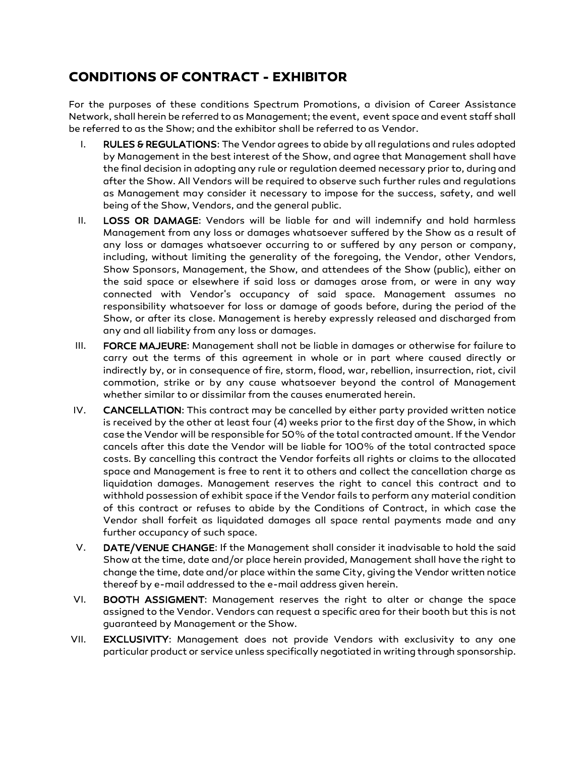## **CONDITIONS OF CONTRACT - EXHIBITOR**

For the purposes of these conditions Spectrum Promotions, a division of Career Assistance Network, shall herein be referred to as Management; the event, event space and event staff shall be referred to as the Show; and the exhibitor shall be referred to as Vendor.

- I. RULES & REGULATIONS: The Vendor agrees to abide by all regulations and rules adopted by Management in the best interest of the Show, and agree that Management shall have the final decision in adopting any rule or regulation deemed necessary prior to, during and after the Show. All Vendors will be required to observe such further rules and regulations as Management may consider it necessary to impose for the success, safety, and well being of the Show, Vendors, and the general public.
- II. LOSS OR DAMAGE: Vendors will be liable for and will indemnify and hold harmless Management from any loss or damages whatsoever suffered by the Show as a result of any loss or damages whatsoever occurring to or suffered by any person or company, including, without limiting the generality of the foregoing, the Vendor, other Vendors, Show Sponsors, Management, the Show, and attendees of the Show (public), either on the said space or elsewhere if said loss or damages arose from, or were in any way connected with Vendor's occupancy of said space. Management assumes no responsibility whatsoever for loss or damage of goods before, during the period of the Show, or after its close. Management is hereby expressly released and discharged from any and all liability from any loss or damages.
- III. FORCE MAJEURE: Management shall not be liable in damages or otherwise for failure to carry out the terms of this agreement in whole or in part where caused directly or indirectly by, or in consequence of fire, storm, flood, war, rebellion, insurrection, riot, civil commotion, strike or by any cause whatsoever beyond the control of Management whether similar to or dissimilar from the causes enumerated herein.
- IV. CANCELLATION: This contract may be cancelled by either party provided written notice is received by the other at least four (4) weeks prior to the first day of the Show, in which case the Vendor will be responsible for 50% of the total contracted amount. If the Vendor cancels after this date the Vendor will be liable for 100% of the total contracted space costs. By cancelling this contract the Vendor forfeits all rights or claims to the allocated space and Management is free to rent it to others and collect the cancellation charge as liquidation damages. Management reserves the right to cancel this contract and to withhold possession of exhibit space if the Vendor fails to perform any material condition of this contract or refuses to abide by the Conditions of Contract, in which case the Vendor shall forfeit as liquidated damages all space rental payments made and any further occupancy of such space.
- V. DATE/VENUE CHANGE: If the Management shall consider it inadvisable to hold the said Show at the time, date and/or place herein provided, Management shall have the right to change the time, date and/or place within the same City, giving the Vendor written notice thereof by e-mail addressed to the e-mail address given herein.
- VI. BOOTH ASSIGMENT: Management reserves the right to alter or change the space assigned to the Vendor. Vendors can request a specific area for their booth but this is not guaranteed by Management or the Show.
- VII. EXCLUSIVITY: Management does not provide Vendors with exclusivity to any one particular product or service unless specifically negotiated in writing through sponsorship.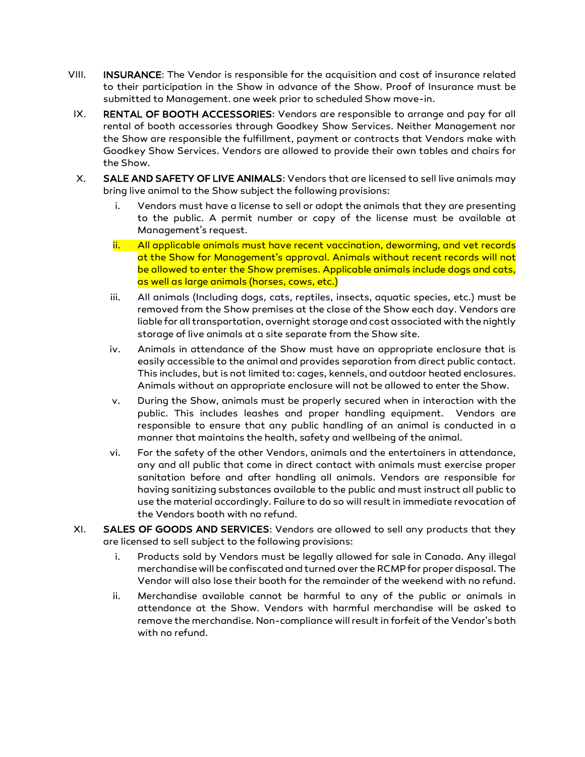- VIII. INSURANCE: The Vendor is responsible for the acquisition and cost of insurance related to their participation in the Show in advance of the Show. Proof of Insurance must be submitted to Management. one week prior to scheduled Show move-in.
- IX. RENTAL OF BOOTH ACCESSORIES: Vendors are responsible to arrange and pay for all rental of booth accessories through Goodkey Show Services. Neither Management nor the Show are responsible the fulfillment, payment or contracts that Vendors make with Goodkey Show Services. Vendors are allowed to provide their own tables and chairs for the Show.
- X. SALE AND SAFETY OF LIVE ANIMALS: Vendors that are licensed to sell live animals may bring live animal to the Show subject the following provisions:
	- i. Vendors must have a license to sell or adopt the animals that they are presenting to the public. A permit number or copy of the license must be available at Management's request.
	- ii. All applicable animals must have recent vaccination, deworming, and vet records at the Show for Management's approval. Animals without recent records will not be allowed to enter the Show premises. Applicable animals include dogs and cats, as well as large animals (horses, cows, etc.)
	- iii. All animals (Including dogs, cats, reptiles, insects, aquatic species, etc.) must be removed from the Show premises at the close of the Show each day. Vendors are liable for all transportation, overnight storage and cost associated with the nightly storage of live animals at a site separate from the Show site.
	- iv. Animals in attendance of the Show must have an appropriate enclosure that is easily accessible to the animal and provides separation from direct public contact. This includes, but is not limited to: cages, kennels, and outdoor heated enclosures. Animals without an appropriate enclosure will not be allowed to enter the Show.
	- v. During the Show, animals must be properly secured when in interaction with the public. This includes leashes and proper handling equipment. Vendors are responsible to ensure that any public handling of an animal is conducted in a manner that maintains the health, safety and wellbeing of the animal.
	- vi. For the safety of the other Vendors, animals and the entertainers in attendance, any and all public that come in direct contact with animals must exercise proper sanitation before and after handling all animals. Vendors are responsible for having sanitizing substances available to the public and must instruct all public to use the material accordingly. Failure to do so will result in immediate revocation of the Vendors booth with no refund.
- XI. SALES OF GOODS AND SERVICES: Vendors are allowed to sell any products that they are licensed to sell subject to the following provisions:
	- i. Products sold by Vendors must be legally allowed for sale in Canada. Any illegal merchandise will be confiscated and turned over the RCMP for proper disposal. The Vendor will also lose their booth for the remainder of the weekend with no refund.
	- ii. Merchandise available cannot be harmful to any of the public or animals in attendance at the Show. Vendors with harmful merchandise will be asked to remove the merchandise. Non-compliance will result in forfeit of the Vendor's both with no refund.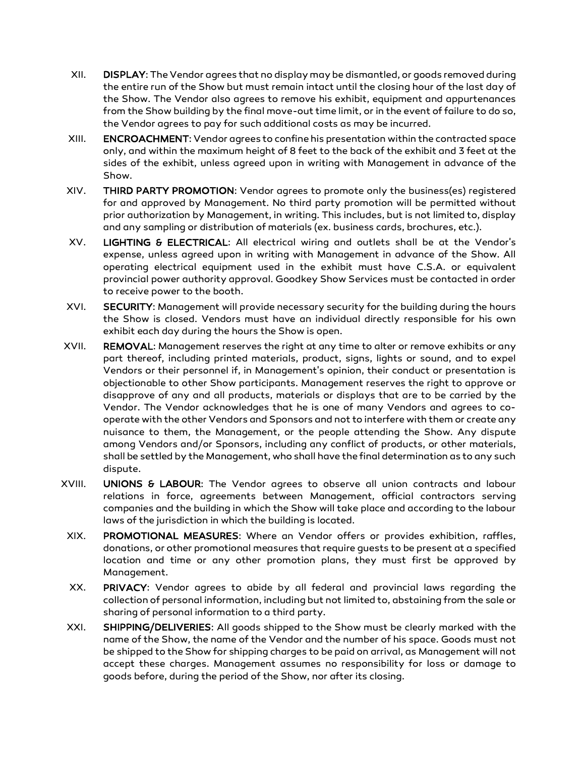- XII. DISPLAY: The Vendor agrees that no display may be dismantled, or goods removed during the entire run of the Show but must remain intact until the closing hour of the last day of the Show. The Vendor also agrees to remove his exhibit, equipment and appurtenances from the Show building by the final move-out time limit, or in the event of failure to do so, the Vendor agrees to pay for such additional costs as may be incurred.
- XIII. ENCROACHMENT: Vendor agrees to confine his presentation within the contracted space only, and within the maximum height of 8 feet to the back of the exhibit and 3 feet at the sides of the exhibit, unless agreed upon in writing with Management in advance of the Show.
- XIV. THIRD PARTY PROMOTION: Vendor agrees to promote only the business(es) registered for and approved by Management. No third party promotion will be permitted without prior authorization by Management, in writing. This includes, but is not limited to, display and any sampling or distribution of materials (ex. business cards, brochures, etc.).
- XV. LIGHTING & ELECTRICAL: All electrical wiring and outlets shall be at the Vendor's expense, unless agreed upon in writing with Management in advance of the Show. All operating electrical equipment used in the exhibit must have C.S.A. or equivalent provincial power authority approval. Goodkey Show Services must be contacted in order to receive power to the booth.
- XVI. SECURITY: Management will provide necessary security for the building during the hours the Show is closed. Vendors must have an individual directly responsible for his own exhibit each day during the hours the Show is open.
- XVII. REMOVAL: Management reserves the right at any time to alter or remove exhibits or any part thereof, including printed materials, product, signs, lights or sound, and to expel Vendors or their personnel if, in Management's opinion, their conduct or presentation is objectionable to other Show participants. Management reserves the right to approve or disapprove of any and all products, materials or displays that are to be carried by the Vendor. The Vendor acknowledges that he is one of many Vendors and agrees to cooperate with the other Vendors and Sponsors and not to interfere with them or create any nuisance to them, the Management, or the people attending the Show. Any dispute among Vendors and/or Sponsors, including any conflict of products, or other materials, shall be settled by the Management, who shall have the final determination as to any such dispute.
- XVIII. UNIONS & LABOUR: The Vendor agrees to observe all union contracts and labour relations in force, agreements between Management, official contractors serving companies and the building in which the Show will take place and according to the labour laws of the jurisdiction in which the building is located.
- XIX. PROMOTIONAL MEASURES: Where an Vendor offers or provides exhibition, raffles, donations, or other promotional measures that require guests to be present at a specified location and time or any other promotion plans, they must first be approved by Management.
- XX. PRIVACY: Vendor agrees to abide by all federal and provincial laws regarding the collection of personal information, including but not limited to, abstaining from the sale or sharing of personal information to a third party.
- XXI. SHIPPING/DELIVERIES: All goods shipped to the Show must be clearly marked with the name of the Show, the name of the Vendor and the number of his space. Goods must not be shipped to the Show for shipping charges to be paid on arrival, as Management will not accept these charges. Management assumes no responsibility for loss or damage to goods before, during the period of the Show, nor after its closing.